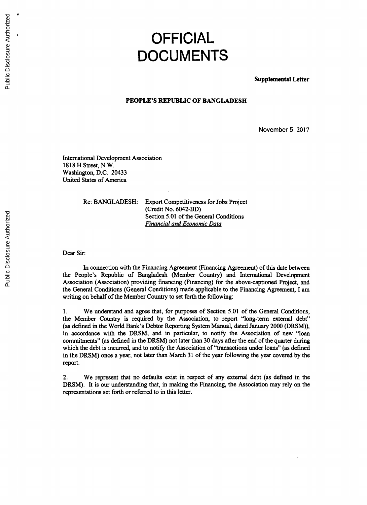## **OFFICIAL DOCUMENTS**

**Supplemental Letter**

## **PEOPLE'S REPUBLIC OF BANGLADESH**

November **5, 2017**

International Development Association **1818** H Street, N.W. Washington, **D.C.** 20433 United States of America

Re: **BANGLADESH:** Export Competitiveness for Jobs Project (Credit No. 6042-BD) Section **5.01** of the General Conditions *Financial and Economic Data*

Dear Sir.

In connection with the Financing Agreement (Financing Agreement) of this date between the People's Republic of Bangladesh (Member Country) and International Development Association (Association) providing financing (Financing) for the above-captioned Project, and the General Conditions (General Conditions) made applicable to the Financing Agreement, I am writing on behalf of the Member Country to set forth the following:

**1.** We understand and agree that, for purposes of Section **5.01** of the General Conditions, the Member Country is required **by** the Association, to report "long-term external debt" (as defined in the World Bank's Debtor Reporting System Manual, dated January 2000 (DRSM)), in accordance with the DRSM, and in particular, to notify the Association of new "loan commitments" (as defined in the DRSM) not later than **30** days after the end of the quarter during which the debt is incurred, and to notify the Association of "transactions under loans" (as defined in the DRSM) once a year, not later than March **31** of the year following the year covered **by** the report.

2. We represent that no defaults exist in respect of any external debt (as defined in the DRSM). It is our understanding that, in making the Financing, the Association may rely on the representations set forth or referred to in this letter.